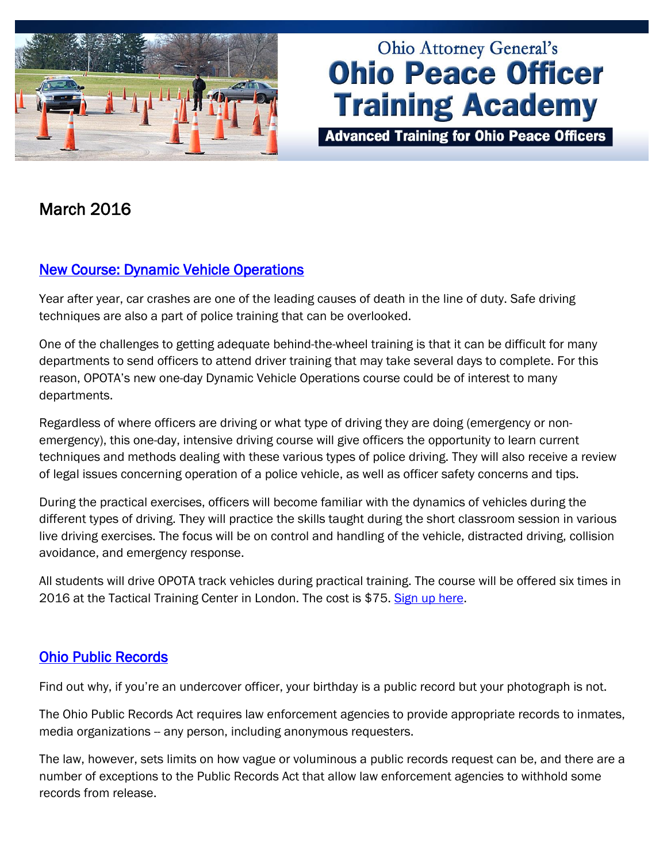

# **Ohio Attorney General's Ohio Peace Officer Training Academy**

**Advanced Training for Ohio Peace Officers** 

## March 2016

## [New Course: Dynamic Vehicle Operations](http://www.ohioattorneygeneral.gov/Law-Enforcement/Ohio-Peace-Officer-Training-Academy/Course-Catalog/Course-Categories/Driving-Courses/Dynamic-Vehicle-Operations)

Year after year, car crashes are one of the leading causes of death in the line of duty. Safe driving techniques are also a part of police training that can be overlooked.

One of the challenges to getting adequate behind-the-wheel training is that it can be difficult for many departments to send officers to attend driver training that may take several days to complete. For this reason, OPOTA's new one-day Dynamic Vehicle Operations course could be of interest to many departments.

Regardless of where officers are driving or what type of driving they are doing (emergency or nonemergency), this one-day, intensive driving course will give officers the opportunity to learn current techniques and methods dealing with these various types of police driving. They will also receive a review of legal issues concerning operation of a police vehicle, as well as officer safety concerns and tips.

During the practical exercises, officers will become familiar with the dynamics of vehicles during the different types of driving. They will practice the skills taught during the short classroom session in various live driving exercises. The focus will be on control and handling of the vehicle, distracted driving, collision avoidance, and emergency response.

All students will drive OPOTA track vehicles during practical training. The course will be offered six times in 2016 at the Tactical Training Center in London. The cost is \$75. [Sign up here.](http://www.ohioattorneygeneral.gov/Law-Enforcement/Ohio-Peace-Officer-Training-Academy/Course-Catalog/Course-Categories/Driving-Courses/Dynamic-Vehicle-Operations)

## [Ohio Public Records](http://www.ohioattorneygeneral.gov/Law-Enforcement/Ohio-Peace-Officer-Training-Academy/Course-Catalog/Course-Categories/Legal-Courses#OPOTA6)

Find out why, if you're an undercover officer, your birthday is a public record but your photograph is not.

The Ohio Public Records Act requires law enforcement agencies to provide appropriate records to inmates, media organizations -- any person, including anonymous requesters.

The law, however, sets limits on how vague or voluminous a public records request can be, and there are a number of exceptions to the Public Records Act that allow law enforcement agencies to withhold some records from release.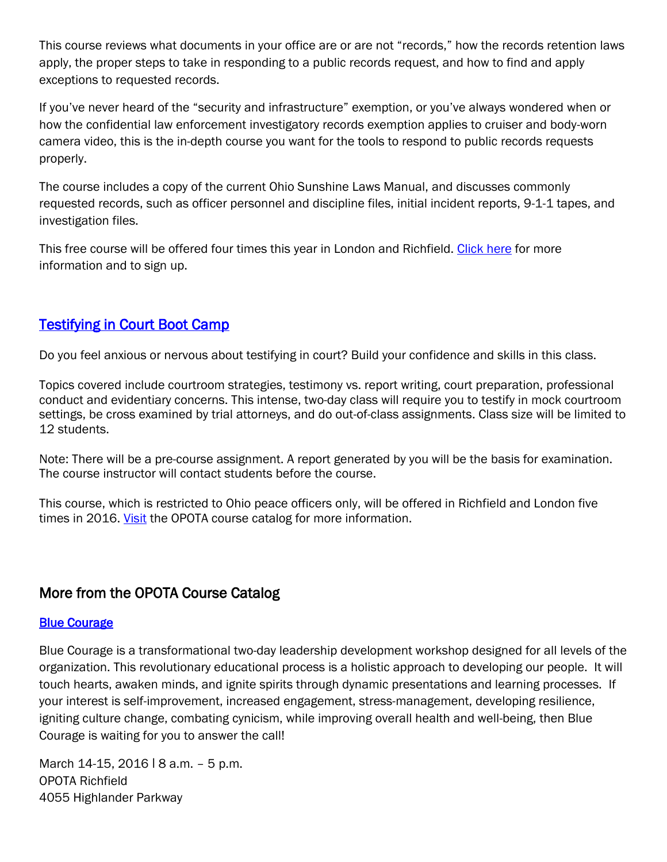This course reviews what documents in your office are or are not "records," how the records retention laws apply, the proper steps to take in responding to a public records request, and how to find and apply exceptions to requested records.

If you've never heard of the "security and infrastructure" exemption, or you've always wondered when or how the confidential law enforcement investigatory records exemption applies to cruiser and body-worn camera video, this is the in-depth course you want for the tools to respond to public records requests properly.

The course includes a copy of the current Ohio Sunshine Laws Manual, and discusses commonly requested records, such as officer personnel and discipline files, initial incident reports, 9-1-1 tapes, and investigation files.

This free course will be offered four times this year in London and Richfield. [Click here](http://www.ohioattorneygeneral.gov/Law-Enforcement/Ohio-Peace-Officer-Training-Academy/Course-Catalog/Course-Categories/Legal-Courses#OPOTA6) for more information and to sign up.

## [Testifying in Court Boot Camp](http://www.ohioattorneygeneral.gov/Law-Enforcement/Ohio-Peace-Officer-Training-Academy/Course-Catalog/Course-Categories/Legal-Courses#OPOTA447)

Do you feel anxious or nervous about testifying in court? Build your confidence and skills in this class.

Topics covered include courtroom strategies, testimony vs. report writing, court preparation, professional conduct and evidentiary concerns. This intense, two-day class will require you to testify in mock courtroom settings, be cross examined by trial attorneys, and do out-of-class assignments. Class size will be limited to 12 students.

Note: There will be a pre-course assignment. A report generated by you will be the basis for examination. The course instructor will contact students before the course.

This course, which is restricted to Ohio peace officers only, will be offered in Richfield and London five times in 2016. [Visit](http://www.ohioattorneygeneral.gov/Law-Enforcement/Ohio-Peace-Officer-Training-Academy/Course-Catalog/Course-Categories/Legal-Courses#OPOTA447) the OPOTA course catalog for more information.

### More from the OPOTA Course Catalog

#### **Blue Courage**

Blue Courage is a transformational two-day leadership development workshop designed for all levels of the organization. This revolutionary educational process is a holistic approach to developing our people. It will touch hearts, awaken minds, and ignite spirits through dynamic presentations and learning processes. If your interest is self-improvement, increased engagement, stress-management, developing resilience, igniting culture change, combating cynicism, while improving overall health and well-being, then Blue Courage is waiting for you to answer the call!

March 14-15, 2016 | 8 a.m. - 5 p.m. OPOTA Richfield 4055 Highlander Parkway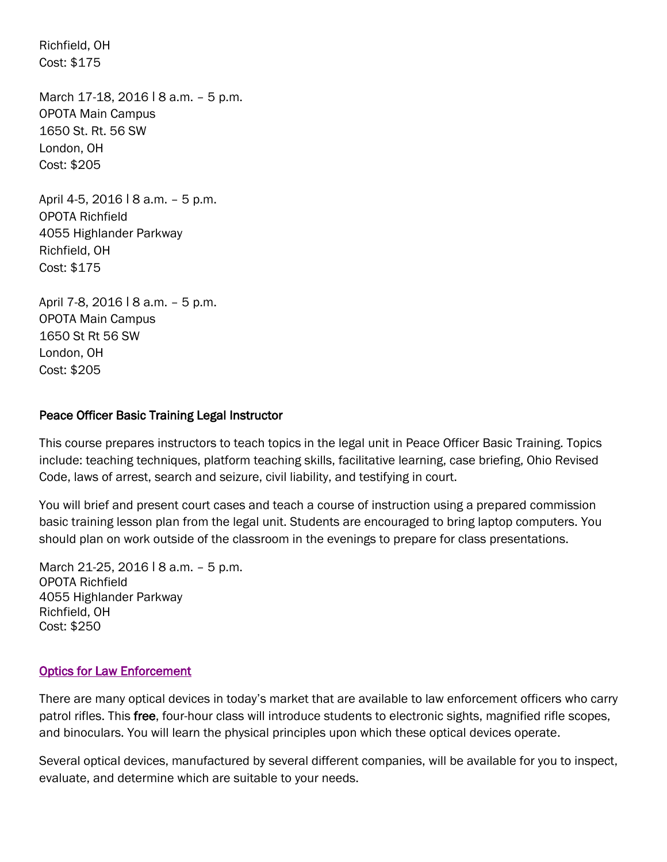Richfield, OH Cost: \$175

March 17-18, 2016 | 8 a.m. - 5 p.m. OPOTA Main Campus 1650 St. Rt. 56 SW London, OH Cost: \$205

April 4-5, 2016 | 8 a.m. – 5 p.m. OPOTA Richfield 4055 Highlander Parkway Richfield, OH Cost: \$175

April 7-8, 2016 | 8 a.m. - 5 p.m. OPOTA Main Campus 1650 St Rt 56 SW London, OH Cost: \$205

#### Peace Officer Basic Training Legal Instructor

This course prepares instructors to teach topics in the legal unit in Peace Officer Basic Training. Topics include: teaching techniques, platform teaching skills, facilitative learning, case briefing, Ohio Revised Code, laws of arrest, search and seizure, civil liability, and testifying in court.

You will brief and present court cases and teach a course of instruction using a prepared commission basic training lesson plan from the legal unit. Students are encouraged to bring laptop computers. You should plan on work outside of the classroom in the evenings to prepare for class presentations.

March 21-25, 2016 | 8 a.m. - 5 p.m. OPOTA Richfield 4055 Highlander Parkway Richfield, OH Cost: \$250

#### [Optics for Law Enforcement](http://www.ohioattorneygeneral.gov/Law-Enforcement/Ohio-Peace-Officer-Training-Academy/Course-Catalog/Course-Categories/Firearms-Courses#OPOTA473)

There are many optical devices in today's market that are available to law enforcement officers who carry patrol rifles. This free, four-hour class will introduce students to electronic sights, magnified rifle scopes, and binoculars. You will learn the physical principles upon which these optical devices operate.

Several optical devices, manufactured by several different companies, will be available for you to inspect, evaluate, and determine which are suitable to your needs.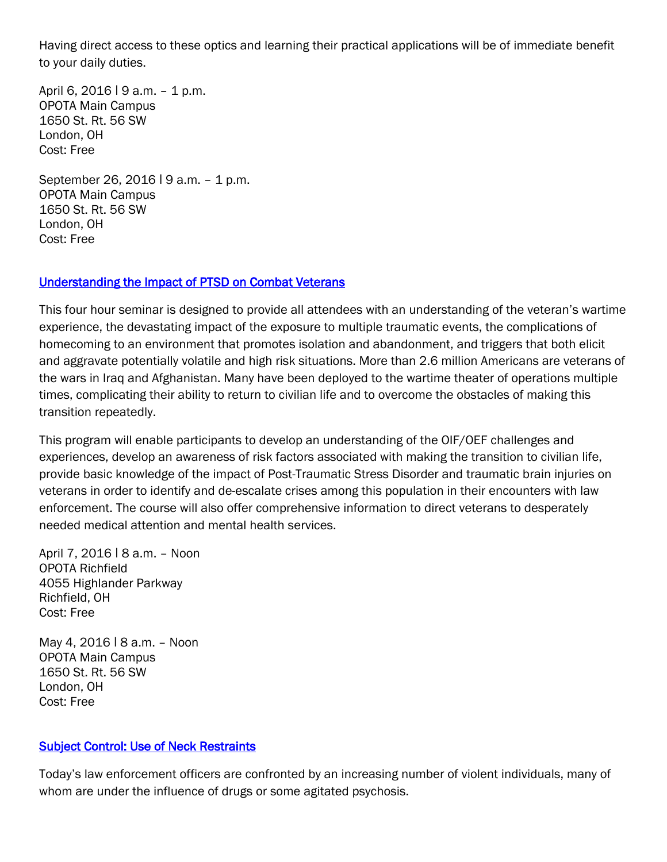Having direct access to these optics and learning their practical applications will be of immediate benefit to your daily duties.

April 6, 2016 | 9 a.m. - 1 p.m. OPOTA Main Campus 1650 St. Rt. 56 SW London, OH Cost: Free

September 26, 2016 | 9 a.m. - 1 p.m. OPOTA Main Campus 1650 St. Rt. 56 SW London, OH Cost: Free

#### [Understanding the Impact of PTSD on Combat Veterans](http://www.ohioattorneygeneral.gov/Law-Enforcement/Ohio-Peace-Officer-Training-Academy/Course-Catalog/Course-Categories/Human-Relations-Courses#OPOTA876)

This four hour seminar is designed to provide all attendees with an understanding of the veteran's wartime experience, the devastating impact of the exposure to multiple traumatic events, the complications of homecoming to an environment that promotes isolation and abandonment, and triggers that both elicit and aggravate potentially volatile and high risk situations. More than 2.6 million Americans are veterans of the wars in Iraq and Afghanistan. Many have been deployed to the wartime theater of operations multiple times, complicating their ability to return to civilian life and to overcome the obstacles of making this transition repeatedly.

This program will enable participants to develop an understanding of the OIF/OEF challenges and experiences, develop an awareness of risk factors associated with making the transition to civilian life, provide basic knowledge of the impact of Post-Traumatic Stress Disorder and traumatic brain injuries on veterans in order to identify and de-escalate crises among this population in their encounters with law enforcement. The course will also offer comprehensive information to direct veterans to desperately needed medical attention and mental health services.

April 7, 2016 | 8 a.m. - Noon OPOTA Richfield 4055 Highlander Parkway Richfield, OH Cost: Free

May 4, 2016 | 8 a.m. - Noon OPOTA Main Campus 1650 St. Rt. 56 SW London, OH Cost: Free

#### [Subject Control: Use of Neck Restraints](http://www.ohioattorneygeneral.gov/Law-Enforcement/Ohio-Peace-Officer-Training-Academy/Course-Catalog/Course-Categories/Subject-Control-Courses#OPOTA841)

Today's law enforcement officers are confronted by an increasing number of violent individuals, many of whom are under the influence of drugs or some agitated psychosis.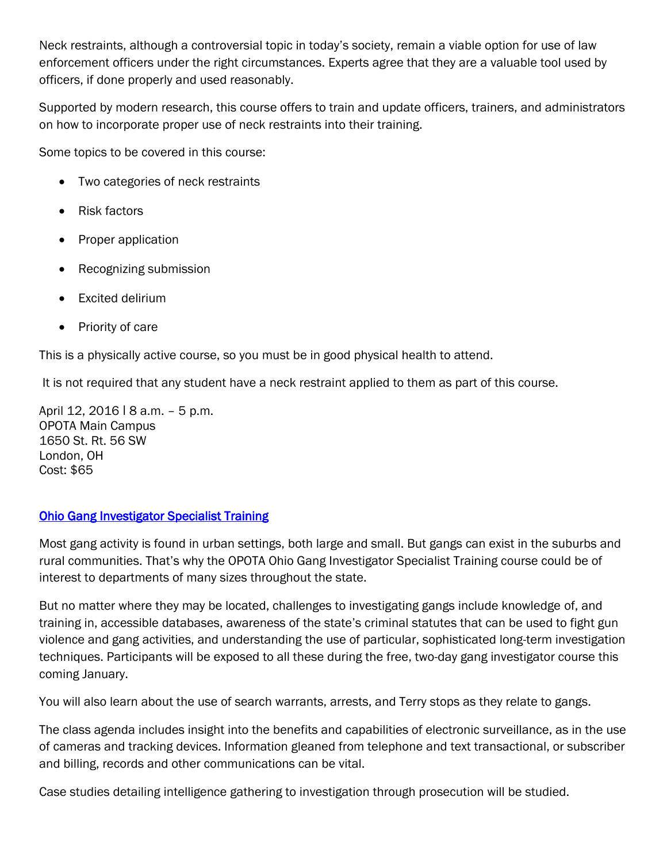Neck restraints, although a controversial topic in today's society, remain a viable option for use of law enforcement officers under the right circumstances. Experts agree that they are a valuable tool used by officers, if done properly and used reasonably.

Supported by modern research, this course offers to train and update officers, trainers, and administrators on how to incorporate proper use of neck restraints into their training.

Some topics to be covered in this course:

- Two categories of neck restraints
- Risk factors
- Proper application
- Recognizing submission
- Excited delirium
- Priority of care

This is a physically active course, so you must be in good physical health to attend.

It is not required that any student have a neck restraint applied to them as part of this course.

April 12, 2016 ǀ 8 a.m. – 5 p.m. OPOTA Main Campus 1650 St. Rt. 56 SW London, OH Cost: \$65

#### [Ohio Gang Investigator Specialist Training](http://www.ohioattorneygeneral.gov/Law-Enforcement/Ohio-Peace-Officer-Training-Academy/Course-Catalog/Course-Categories/Investigations-Courses/Ohio-Gang-Investigator-Specialist-Training)

Most gang activity is found in urban settings, both large and small. But gangs can exist in the suburbs and rural communities. That's why the OPOTA Ohio Gang Investigator Specialist Training course could be of interest to departments of many sizes throughout the state.

But no matter where they may be located, challenges to investigating gangs include knowledge of, and training in, accessible databases, awareness of the state's criminal statutes that can be used to fight gun violence and gang activities, and understanding the use of particular, sophisticated long-term investigation techniques. Participants will be exposed to all these during the free, two-day gang investigator course this coming January.

You will also learn about the use of search warrants, arrests, and Terry stops as they relate to gangs.

The class agenda includes insight into the benefits and capabilities of electronic surveillance, as in the use of cameras and tracking devices. Information gleaned from telephone and text transactional, or subscriber and billing, records and other communications can be vital.

Case studies detailing intelligence gathering to investigation through prosecution will be studied.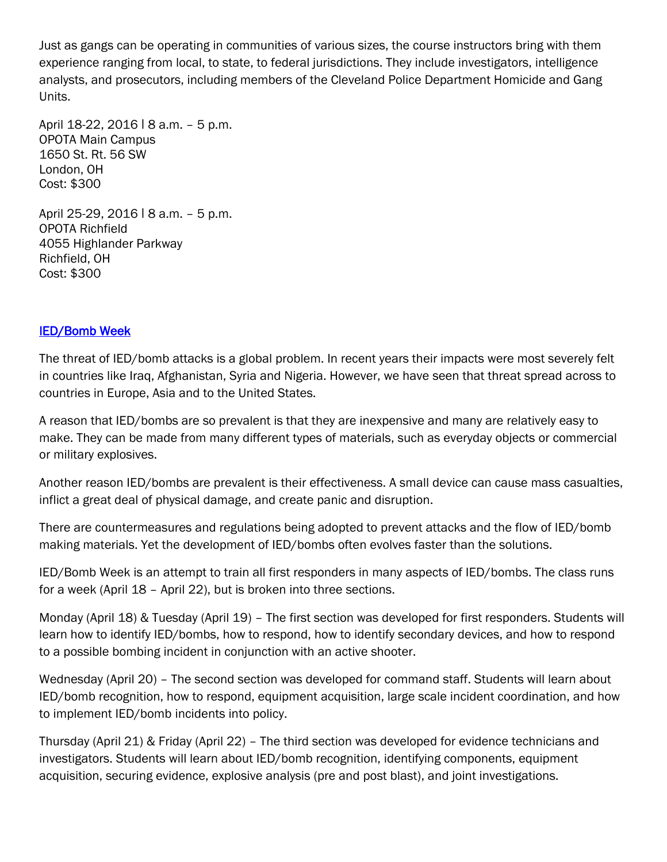Just as gangs can be operating in communities of various sizes, the course instructors bring with them experience ranging from local, to state, to federal jurisdictions. They include investigators, intelligence analysts, and prosecutors, including members of the Cleveland Police Department Homicide and Gang Units.

April 18-22, 2016 | 8 a.m. - 5 p.m. OPOTA Main Campus 1650 St. Rt. 56 SW London, OH Cost: \$300

April 25-29, 2016 | 8 a.m. - 5 p.m. OPOTA Richfield 4055 Highlander Parkway Richfield, OH Cost: \$300

#### [IED/Bomb Week](http://www.ohioattorneygeneral.gov/Law-Enforcement/Ohio-Peace-Officer-Training-Academy/Course-Catalog/Course-Categories/Homeland-Security-Courses#OPOTA880)

The threat of IED/bomb attacks is a global problem. In recent years their impacts were most severely felt in countries like Iraq, Afghanistan, Syria and Nigeria. However, we have seen that threat spread across to countries in Europe, Asia and to the United States.

A reason that IED/bombs are so prevalent is that they are inexpensive and many are relatively easy to make. They can be made from many different types of materials, such as everyday objects or commercial or military explosives.

Another reason IED/bombs are prevalent is their effectiveness. A small device can cause mass casualties, inflict a great deal of physical damage, and create panic and disruption.

There are countermeasures and regulations being adopted to prevent attacks and the flow of IED/bomb making materials. Yet the development of IED/bombs often evolves faster than the solutions.

IED/Bomb Week is an attempt to train all first responders in many aspects of IED/bombs. The class runs for a week (April 18 – April 22), but is broken into three sections.

Monday (April 18) & Tuesday (April 19) – The first section was developed for first responders. Students will learn how to identify IED/bombs, how to respond, how to identify secondary devices, and how to respond to a possible bombing incident in conjunction with an active shooter.

Wednesday (April 20) – The second section was developed for command staff. Students will learn about IED/bomb recognition, how to respond, equipment acquisition, large scale incident coordination, and how to implement IED/bomb incidents into policy.

Thursday (April 21) & Friday (April 22) – The third section was developed for evidence technicians and investigators. Students will learn about IED/bomb recognition, identifying components, equipment acquisition, securing evidence, explosive analysis (pre and post blast), and joint investigations.